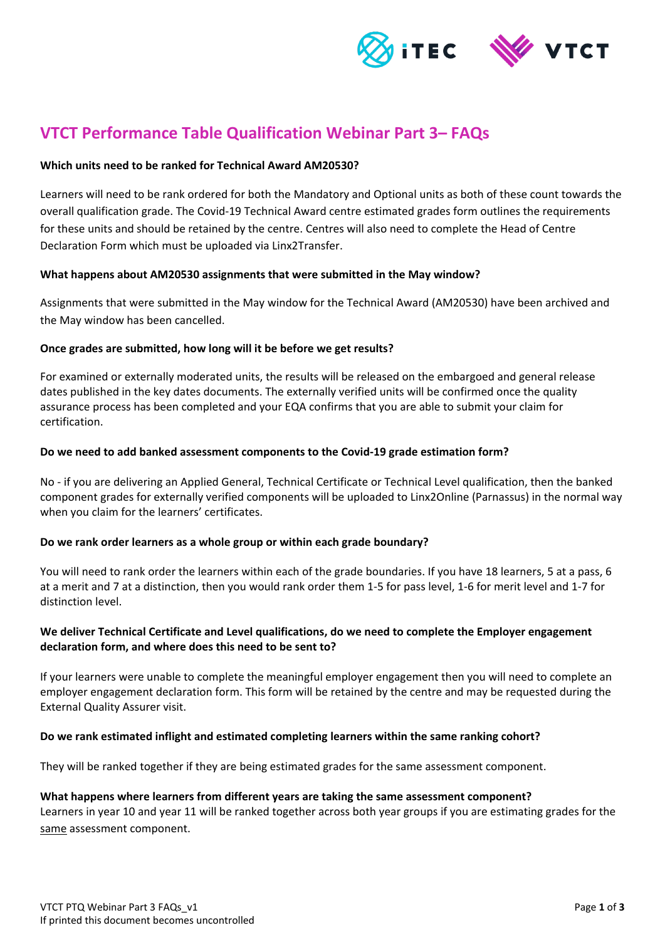

# **VTCT Performance Table Qualification Webinar Part 3– FAQs**

## **Which units need to be ranked for Technical Award AM20530?**

Learners will need to be rank ordered for both the Mandatory and Optional units as both of these count towards the overall qualification grade. The Covid-19 Technical Award centre estimated grades form outlines the requirements for these units and should be retained by the centre. Centres will also need to complete the Head of Centre Declaration Form which must be uploaded via Linx2Transfer.

## **What happens about AM20530 assignments that were submitted in the May window?**

Assignments that were submitted in the May window for the Technical Award (AM20530) have been archived and the May window has been cancelled.

## **Once grades are submitted, how long will it be before we get results?**

For examined or externally moderated units, the results will be released on the embargoed and general release dates published in the key dates documents. The externally verified units will be confirmed once the quality assurance process has been completed and your EQA confirms that you are able to submit your claim for certification.

## **Do we need to add banked assessment components to the Covid-19 grade estimation form?**

No - if you are delivering an Applied General, Technical Certificate or Technical Level qualification, then the banked component grades for externally verified components will be uploaded to Linx2Online (Parnassus) in the normal way when you claim for the learners' certificates.

# **Do we rank order learners as a whole group or within each grade boundary?**

You will need to rank order the learners within each of the grade boundaries. If you have 18 learners, 5 at a pass, 6 at a merit and 7 at a distinction, then you would rank order them 1-5 for pass level, 1-6 for merit level and 1-7 for distinction level.

# **We deliver Technical Certificate and Level qualifications, do we need to complete the Employer engagement declaration form, and where does this need to be sent to?**

If your learners were unable to complete the meaningful employer engagement then you will need to complete an employer engagement declaration form. This form will be retained by the centre and may be requested during the External Quality Assurer visit.

# **Do we rank estimated inflight and estimated completing learners within the same ranking cohort?**

They will be ranked together if they are being estimated grades for the same assessment component.

#### **What happens where learners from different years are taking the same assessment component?**

Learners in year 10 and year 11 will be ranked together across both year groups if you are estimating grades for the same assessment component.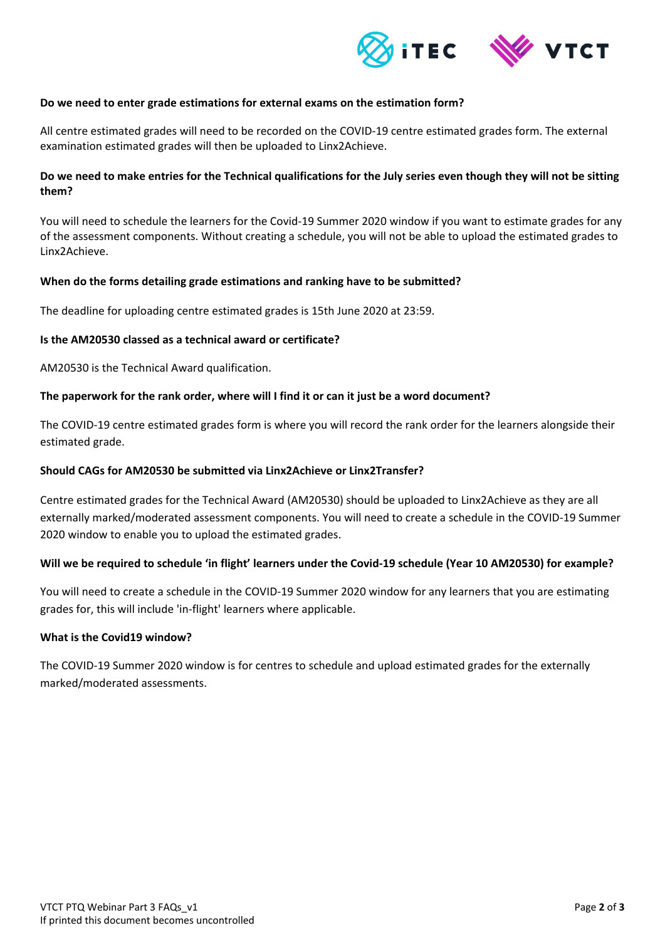

## **Do we need to enter grade estimations for external exams on the estimation form?**

All centre estimated grades will need to be recorded on the COVID-19 centre estimated grades form. The external examination estimated grades will then be uploaded to Linx2Achieve.

# **Do we need to make entries for the Technical qualifications for the July series even though they will not be sitting them?**

You will need to schedule the learners for the Covid-19 Summer 2020 window if you want to estimate grades for any of the assessment components. Without creating a schedule, you will not be able to upload the estimated grades to Linx2Achieve.

## **When do the forms detailing grade estimations and ranking have to be submitted?**

The deadline for uploading centre estimated grades is 15th June 2020 at 23:59.

## **Is the AM20530 classed as a technical award or certificate?**

AM20530 is the Technical Award qualification.

## **The paperwork for the rank order, where will I find it or can it just be a word document?**

The COVID-19 centre estimated grades form is where you will record the rank order for the learners alongside their estimated grade.

#### **Should CAGs for AM20530 be submitted via Linx2Achieve or Linx2Transfer?**

Centre estimated grades for the Technical Award (AM20530) should be uploaded to Linx2Achieve as they are all externally marked/moderated assessment components. You will need to create a schedule in the COVID-19 Summer 2020 window to enable you to upload the estimated grades.

# **Will we be required to schedule 'in flight' learners under the Covid-19 schedule (Year 10 AM20530) for example?**

You will need to create a schedule in the COVID-19 Summer 2020 window for any learners that you are estimating grades for, this will include 'in-flight' learners where applicable.

#### **What is the Covid19 window?**

The COVID-19 Summer 2020 window is for centres to schedule and upload estimated grades for the externally marked/moderated assessments.